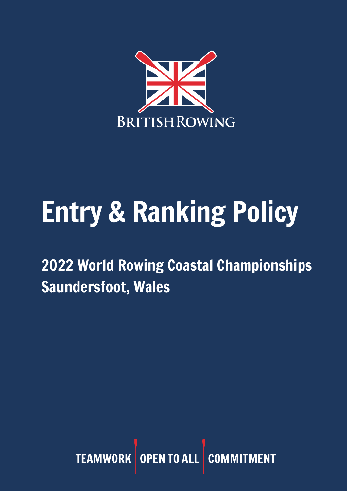

## Entry & Ranking Policy

2022 World Rowing Coastal Championships Saundersfoot, Wales

> TEAMWORK OPEN TO ALL COM **ENT**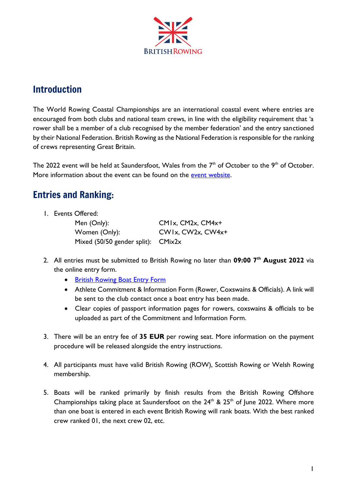

## Introduction

The World Rowing Coastal Championships are an international coastal event where entries are encouraged from both clubs and national team crews, in line with the eligibility requirement that 'a rower shall be a member of a club recognised by the member federation' and the entry sanctioned by their National Federation. British Rowing as the National Federation is responsible for the ranking of crews representing Great Britain.

The 2022 event will be held at Saundersfoot, Wales from the  $7<sup>th</sup>$  of October to the  $9<sup>th</sup>$  of October. More information about the event can be found on the event [website.](https://www.worldrowingcoastals2022.org/)

## Entries and Ranking:

1. Events Offered:

Men (Only): CM1x, CM2x, CM4x+ Women (Only): CW1x, CW2x, CW4x+ Mixed (50/50 gender split): CMix2x

- 2. All entries must be submitted to British Rowing no later than **09:00 7 th August 2022** via the online entry form.
	- [British Rowing Boat Entry Form](https://docs.google.com/forms/d/e/1FAIpQLScYVcw6keJtjjcOwxuVOf-TJwKNNRxFvbLK8HF29Na66W39Lg/viewform?usp=sf_link)
	- Athlete Commitment & Information Form (Rower, Coxswains & Officials). A link will be sent to the club contact once a boat entry has been made.
	- Clear copies of passport information pages for rowers, coxswains & officials to be uploaded as part of the Commitment and Information Form.
- 3. There will be an entry fee of **35 EUR** per rowing seat. More information on the payment procedure will be released alongside the entry instructions.
- 4. All participants must have valid British Rowing (ROW), Scottish Rowing or Welsh Rowing membership.
- 5. Boats will be ranked primarily by finish results from the British Rowing Offshore Championships taking place at Saundersfoot on the  $24<sup>th</sup>$  &  $25<sup>th</sup>$  of June 2022. Where more than one boat is entered in each event British Rowing will rank boats. With the best ranked crew ranked 01, the next crew 02, etc.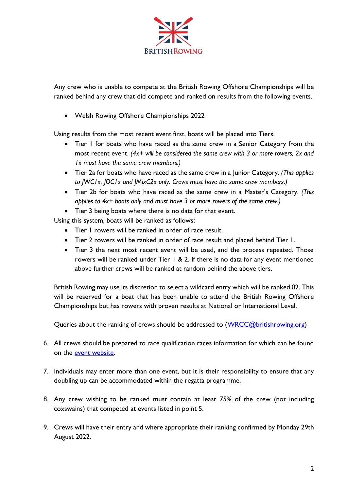

Any crew who is unable to compete at the British Rowing Offshore Championships will be ranked behind any crew that did compete and ranked on results from the following events.

• Welsh Rowing Offshore Championships 2022

Using results from the most recent event first, boats will be placed into Tiers.

- Tier I for boats who have raced as the same crew in a Senior Category from the most recent event. *(4x+ will be considered the same crew with 3 or more rowers, 2x and 1x must have the same crew members.)*
- Tier 2a for boats who have raced as the same crew in a Junior Category. *(This applies to JWC1x, JOC1x and JMixC2x only. Crews must have the same crew members.)*
- Tier 2b for boats who have raced as the same crew in a Master's Category. *(This applies to 4x+ boats only and must have 3 or more rowers of the same crew.)*
- Tier 3 being boats where there is no data for that event.

Using this system, boats will be ranked as follows:

- Tier 1 rowers will be ranked in order of race result.
- Tier 2 rowers will be ranked in order of race result and placed behind Tier 1.
- Tier 3 the next most recent event will be used, and the process repeated. Those rowers will be ranked under Tier 1 & 2. If there is no data for any event mentioned above further crews will be ranked at random behind the above tiers.

British Rowing may use its discretion to select a wildcard entry which will be ranked 02. This will be reserved for a boat that has been unable to attend the British Rowing Offshore Championships but has rowers with proven results at National or International Level.

Queries about the ranking of crews should be addressed to [\(WRCC@britishrowing.org\)](file:///G:/Team%20Drives/World%20Rowing%20Coastal%20Championships/2019/Documentation/WRCC@britishrowing.org)

- 6. All crews should be prepared to race qualification races information for which can be found on the [event website.](https://www.worldrowingcoastals2022.org/)
- 7. Individuals may enter more than one event, but it is their responsibility to ensure that any doubling up can be accommodated within the regatta programme.
- 8. Any crew wishing to be ranked must contain at least 75% of the crew (not including coxswains) that competed at events listed in point 5.
- 9. Crews will have their entry and where appropriate their ranking confirmed by Monday 29th August 2022.